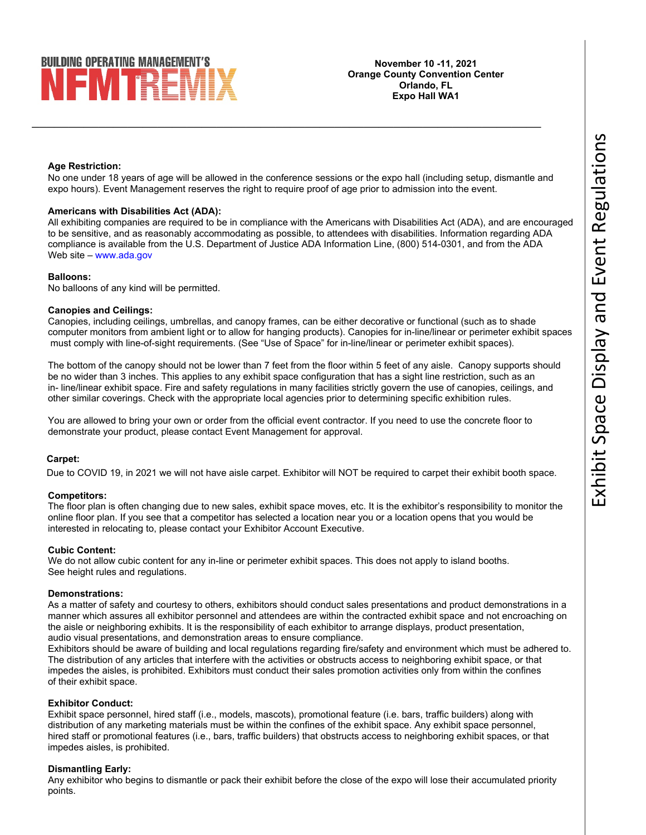# **BUILDING OPERATING MANAGEMENT'S** I EM TRE

**November 10 -11, 2021 Orange County Convention Center Orlando, FL Expo Hall WA1** 

# **Age Restriction:**

No one under 18 years of age will be allowed in the conference sessions or the expo hall (including setup, dismantle and expo hours). Event Management reserves the right to require proof of age prior to admission into the event.

 $\overline{\phantom{a}}$  , and the contract of the contract of the contract of the contract of the contract of the contract of the contract of the contract of the contract of the contract of the contract of the contract of the contrac

## **Americans with Disabilities Act (ADA):**

All exhibiting companies are required to be in compliance with the Americans with Disabilities Act (ADA), and are encouraged to be sensitive, and as reasonably accommodating as possible, to attendees with disabilities. Information regarding ADA compliance is available from the U.S. Department of Justice ADA Information Line, (800) 514-0301, and from the ADA Web site – www.ada.gov

## **Balloons:**

No balloons of any kind will be permitted.

## **Canopies and Ceilings:**

Canopies, including ceilings, umbrellas, and canopy frames, can be either decorative or functional (such as to shade computer monitors from ambient light or to allow for hanging products). Canopies for in-line/linear or perimeter exhibit spaces must comply with line-of-sight requirements. (See "Use of Space" for in-line/linear or perimeter exhibit spaces).

The bottom of the canopy should not be lower than 7 feet from the floor within 5 feet of any aisle. Canopy supports should be no wider than 3 inches. This applies to any exhibit space configuration that has a sight line restriction, such as an in- line/linear exhibit space. Fire and safety regulations in many facilities strictly govern the use of canopies, ceilings, and other similar coverings. Check with the appropriate local agencies prior to determining specific exhibition rules.

You are allowed to bring your own or order from the official event contractor. If you need to use the concrete floor to demonstrate your product, please contact Event Management for approval.

# **Carpet:**

Due to COVID 19, in 2021 we will not have aisle carpet. Exhibitor will NOT be required to carpet their exhibit booth space.

# **Competitors:**

The floor plan is often changing due to new sales, exhibit space moves, etc. It is the exhibitor's responsibility to monitor the online floor plan. If you see that a competitor has selected a location near you or a location opens that you would be interested in relocating to, please contact your Exhibitor Account Executive.

# **Cubic Content:**

We do not allow cubic content for any in-line or perimeter exhibit spaces. This does not apply to island booths. See height rules and regulations.

## **Demonstrations:**

As a matter of safety and courtesy to others, exhibitors should conduct sales presentations and product demonstrations in a manner which assures all exhibitor personnel and attendees are within the contracted exhibit space and not encroaching on the aisle or neighboring exhibits. It is the responsibility of each exhibitor to arrange displays, product presentation, audio visual presentations, and demonstration areas to ensure compliance.

Exhibitors should be aware of building and local regulations regarding fire/safety and environment which must be adhered to. The distribution of any articles that interfere with the activities or obstructs access to neighboring exhibit space, or that impedes the aisles, is prohibited. Exhibitors must conduct their sales promotion activities only from within the confines of their exhibit space.

## **Exhibitor Conduct:**

Exhibit space personnel, hired staff (i.e., models, mascots), promotional feature (i.e. bars, traffic builders) along with distribution of any marketing materials must be within the confines of the exhibit space. Any exhibit space personnel, hired staff or promotional features (i.e., bars, traffic builders) that obstructs access to neighboring exhibit spaces, or that impedes aisles, is prohibited.

## **Dismantling Early:**

Any exhibitor who begins to dismantle or pack their exhibit before the close of the expo will lose their accumulated priority points.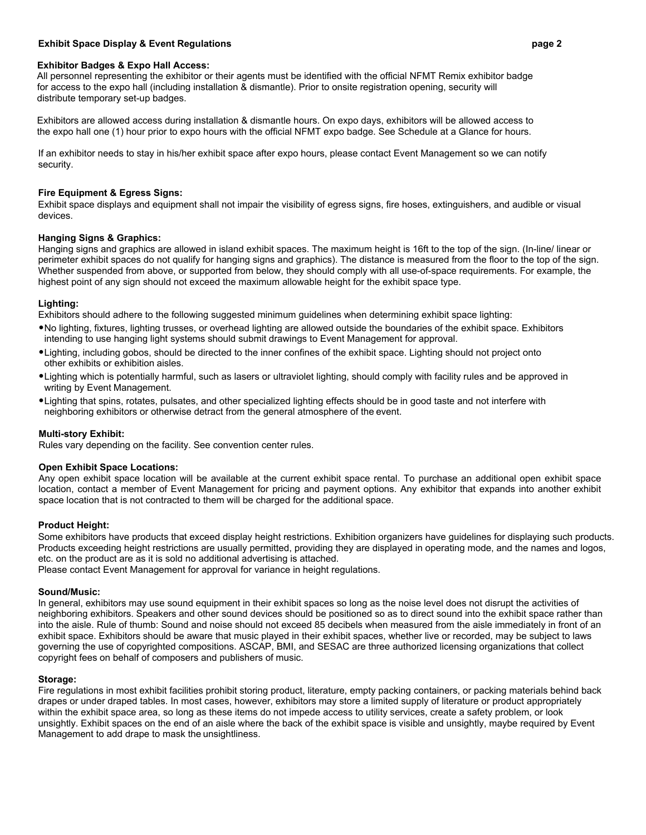# **Exhibit Space Display & Event Regulations page 2**

## **Exhibitor Badges & Expo Hall Access:**

 All personnel representing the exhibitor or their agents must be identified with the official NFMT Remix exhibitor badge for access to the expo hall (including installation & dismantle). Prior to onsite registration opening, security will distribute temporary set-up badges.

 Exhibitors are allowed access during installation & dismantle hours. On expo days, exhibitors will be allowed access to the expo hall one (1) hour prior to expo hours with the official NFMT expo badge. See Schedule at a Glance for hours.

If an exhibitor needs to stay in his/her exhibit space after expo hours, please contact Event Management so we can notify security.

## **Fire Equipment & Egress Signs:**

Exhibit space displays and equipment shall not impair the visibility of egress signs, fire hoses, extinguishers, and audible or visual devices.

## **Hanging Signs & Graphics:**

Hanging signs and graphics are allowed in island exhibit spaces. The maximum height is 16ft to the top of the sign. (In-line/ linear or perimeter exhibit spaces do not qualify for hanging signs and graphics). The distance is measured from the floor to the top of the sign. Whether suspended from above, or supported from below, they should comply with all use-of-space requirements. For example, the highest point of any sign should not exceed the maximum allowable height for the exhibit space type.

## **Lighting:**

Exhibitors should adhere to the following suggested minimum guidelines when determining exhibit space lighting:

- •No lighting, fixtures, lighting trusses, or overhead lighting are allowed outside the boundaries of the exhibit space. Exhibitors intending to use hanging light systems should submit drawings to Event Management for approval.
- •Lighting, including gobos, should be directed to the inner confines of the exhibit space. Lighting should not project onto other exhibits or exhibition aisles.
- •Lighting which is potentially harmful, such as lasers or ultraviolet lighting, should comply with facility rules and be approved in writing by Event Management.
- •Lighting that spins, rotates, pulsates, and other specialized lighting effects should be in good taste and not interfere with neighboring exhibitors or otherwise detract from the general atmosphere of the event.

## **Multi-story Exhibit:**

Rules vary depending on the facility. See convention center rules.

# **Open Exhibit Space Locations:**

Any open exhibit space location will be available at the current exhibit space rental. To purchase an additional open exhibit space location, contact a member of Event Management for pricing and payment options. Any exhibitor that expands into another exhibit space location that is not contracted to them will be charged for the additional space.

# **Product Height:**

Some exhibitors have products that exceed display height restrictions. Exhibition organizers have guidelines for displaying such products. Products exceeding height restrictions are usually permitted, providing they are displayed in operating mode, and the names and logos, etc. on the product are as it is sold no additional advertising is attached.

Please contact Event Management for approval for variance in height regulations.

## **Sound/Music:**

In general, exhibitors may use sound equipment in their exhibit spaces so long as the noise level does not disrupt the activities of neighboring exhibitors. Speakers and other sound devices should be positioned so as to direct sound into the exhibit space rather than into the aisle. Rule of thumb: Sound and noise should not exceed 85 decibels when measured from the aisle immediately in front of an exhibit space. Exhibitors should be aware that music played in their exhibit spaces, whether live or recorded, may be subject to laws governing the use of copyrighted compositions. ASCAP, BMI, and SESAC are three authorized licensing organizations that collect copyright fees on behalf of composers and publishers of music.

## **Storage:**

Fire regulations in most exhibit facilities prohibit storing product, literature, empty packing containers, or packing materials behind back drapes or under draped tables. In most cases, however, exhibitors may store a limited supply of literature or product appropriately within the exhibit space area, so long as these items do not impede access to utility services, create a safety problem, or look unsightly. Exhibit spaces on the end of an aisle where the back of the exhibit space is visible and unsightly, maybe required by Event Management to add drape to mask the unsightliness.